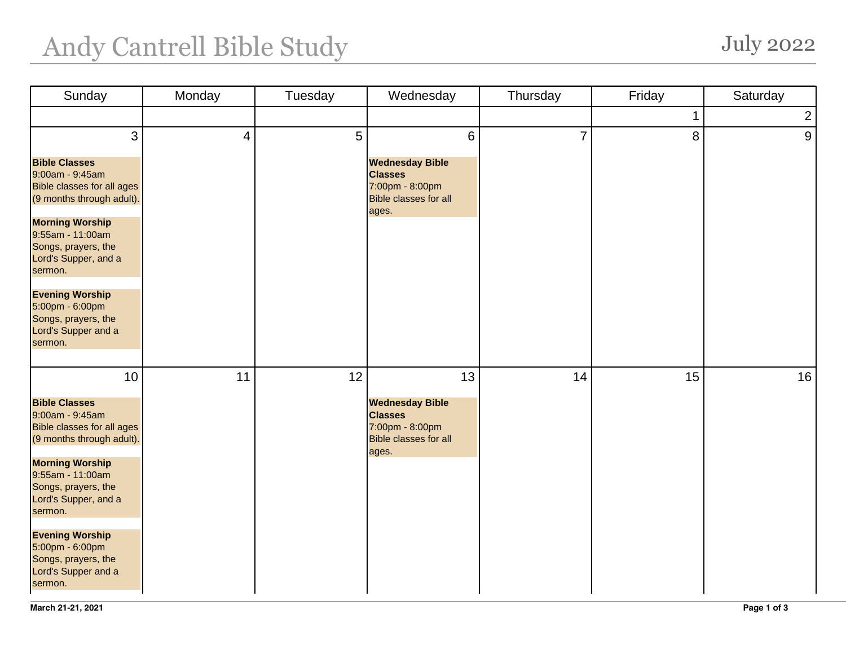## Andy Cantrell Bible Study July 2022

| Sunday                                                                                                    | Monday | Tuesday | Wednesday                                                                                            | Thursday       | Friday | Saturday       |
|-----------------------------------------------------------------------------------------------------------|--------|---------|------------------------------------------------------------------------------------------------------|----------------|--------|----------------|
|                                                                                                           |        |         |                                                                                                      |                | 1      | $\overline{2}$ |
| 3                                                                                                         | 4      | 5       | 6                                                                                                    | $\overline{7}$ | 8      | 9              |
| <b>Bible Classes</b><br>9:00am - 9:45am<br><b>Bible classes for all ages</b><br>(9 months through adult). |        |         | <b>Wednesday Bible</b><br><b>Classes</b><br>7:00pm - 8:00pm<br><b>Bible classes for all</b><br>ages. |                |        |                |
| <b>Morning Worship</b><br>9:55am - 11:00am<br>Songs, prayers, the<br>Lord's Supper, and a<br>sermon.      |        |         |                                                                                                      |                |        |                |
| <b>Evening Worship</b><br>5:00pm - 6:00pm<br>Songs, prayers, the<br>Lord's Supper and a<br>sermon.        |        |         |                                                                                                      |                |        |                |
| 10                                                                                                        | 11     | 12      | 13                                                                                                   | 14             | 15     | 16             |
| <b>Bible Classes</b><br>9:00am - 9:45am<br><b>Bible classes for all ages</b><br>(9 months through adult). |        |         | <b>Wednesday Bible</b><br><b>Classes</b><br>7:00pm - 8:00pm<br><b>Bible classes for all</b><br>ages. |                |        |                |
| <b>Morning Worship</b><br>9:55am - 11:00am<br>Songs, prayers, the<br>Lord's Supper, and a<br>sermon.      |        |         |                                                                                                      |                |        |                |
| <b>Evening Worship</b><br>5:00pm - 6:00pm<br>Songs, prayers, the<br>Lord's Supper and a<br>sermon.        |        |         |                                                                                                      |                |        |                |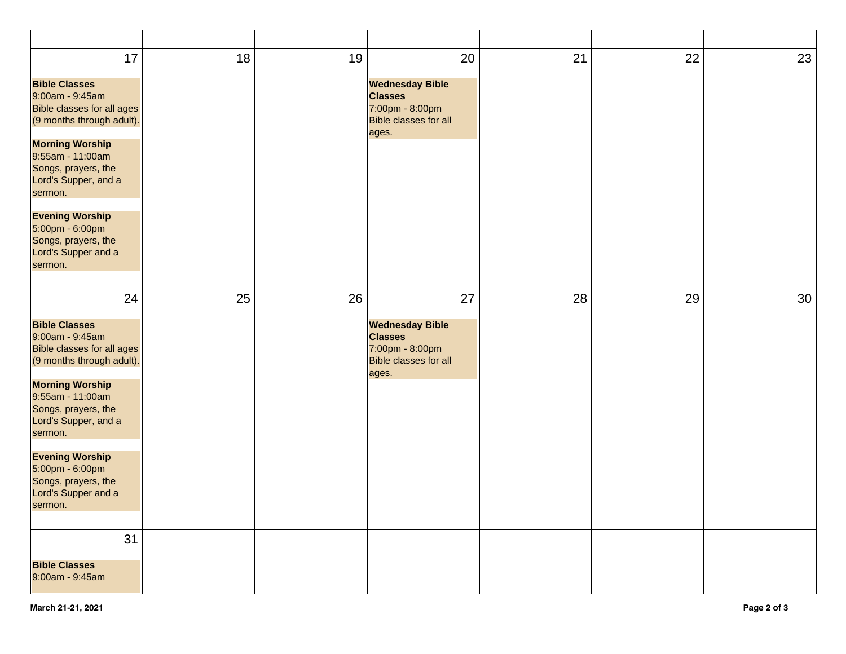| 17<br><b>Bible Classes</b><br>9:00am - 9:45am<br><b>Bible classes for all ages</b><br>(9 months through adult).<br><b>Morning Worship</b><br>9:55am - 11:00am<br>Songs, prayers, the<br>Lord's Supper, and a<br>sermon.<br><b>Evening Worship</b><br>5:00pm - 6:00pm<br>Songs, prayers, the<br>Lord's Supper and a<br>sermon. | 18 | 19 | 20<br><b>Wednesday Bible</b><br><b>Classes</b><br>7:00pm - 8:00pm<br><b>Bible classes for all</b><br>ages. | 21 | 22 | 23              |
|-------------------------------------------------------------------------------------------------------------------------------------------------------------------------------------------------------------------------------------------------------------------------------------------------------------------------------|----|----|------------------------------------------------------------------------------------------------------------|----|----|-----------------|
| 24<br><b>Bible Classes</b><br>9:00am - 9:45am<br><b>Bible classes for all ages</b><br>(9 months through adult).<br><b>Morning Worship</b><br>9:55am - 11:00am<br>Songs, prayers, the<br>Lord's Supper, and a<br>sermon.<br><b>Evening Worship</b><br>5:00pm - 6:00pm<br>Songs, prayers, the<br>Lord's Supper and a<br>sermon. | 25 | 26 | 27<br><b>Wednesday Bible</b><br><b>Classes</b><br>7:00pm - 8:00pm<br><b>Bible classes for all</b><br>ages. | 28 | 29 | 30 <sup>°</sup> |
| 31<br><b>Bible Classes</b><br>9:00am - 9:45am                                                                                                                                                                                                                                                                                 |    |    |                                                                                                            |    |    |                 |